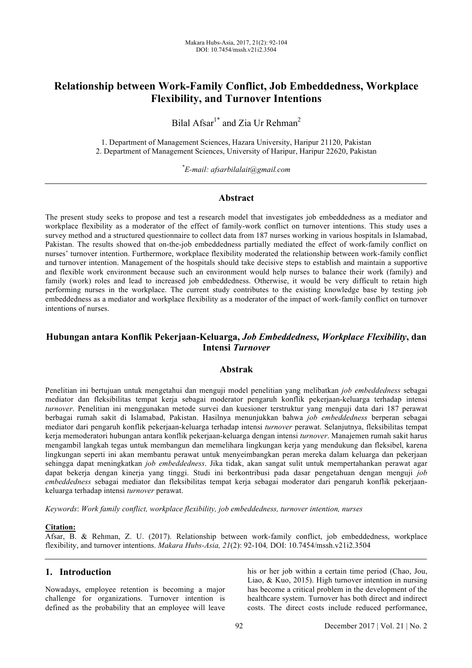# **Relationship between Work-Family Conflict, Job Embeddedness, Workplace Flexibility, and Turnover Intentions**

Bilal Afsar<sup>1\*</sup> and Zia Ur Rehman<sup>2</sup>

1. Department of Management Sciences, Hazara University, Haripur 21120, Pakistan 2. Department of Management Sciences, University of Haripur, Haripur 22620, Pakistan

*\* E-mail: afsarbilalait@gmail.com*

#### **Abstract**

The present study seeks to propose and test a research model that investigates job embeddedness as a mediator and workplace flexibility as a moderator of the effect of family-work conflict on turnover intentions. This study uses a survey method and a structured questionnaire to collect data from 187 nurses working in various hospitals in Islamabad, Pakistan. The results showed that on-the-job embeddedness partially mediated the effect of work-family conflict on nurses' turnover intention. Furthermore, workplace flexibility moderated the relationship between work-family conflict and turnover intention. Management of the hospitals should take decisive steps to establish and maintain a supportive and flexible work environment because such an environment would help nurses to balance their work (family) and family (work) roles and lead to increased job embeddedness. Otherwise, it would be very difficult to retain high performing nurses in the workplace. The current study contributes to the existing knowledge base by testing job embeddedness as a mediator and workplace flexibility as a moderator of the impact of work-family conflict on turnover intentions of nurses.

# **Hubungan antara Konflik Pekerjaan-Keluarga,** *Job Embeddedness, Workplace Flexibility***, dan Intensi** *Turnover*

#### **Abstrak**

Penelitian ini bertujuan untuk mengetahui dan menguji model penelitian yang melibatkan *job embeddedness* sebagai mediator dan fleksibilitas tempat kerja sebagai moderator pengaruh konflik pekerjaan-keluarga terhadap intensi *turnover*. Penelitian ini menggunakan metode survei dan kuesioner terstruktur yang menguji data dari 187 perawat berbagai rumah sakit di Islamabad, Pakistan. Hasilnya menunjukkan bahwa *job embeddedness* berperan sebagai mediator dari pengaruh konflik pekerjaan-keluarga terhadap intensi *turnover* perawat. Selanjutnya, fleksibilitas tempat kerja memoderatori hubungan antara konflik pekerjaan-keluarga dengan intensi *turnover*. Manajemen rumah sakit harus mengambil langkah tegas untuk membangun dan memelihara lingkungan kerja yang mendukung dan fleksibel, karena lingkungan seperti ini akan membantu perawat untuk menyeimbangkan peran mereka dalam keluarga dan pekerjaan sehingga dapat meningkatkan *job embeddedness*. Jika tidak, akan sangat sulit untuk mempertahankan perawat agar dapat bekerja dengan kinerja yang tinggi. Studi ini berkontribusi pada dasar pengetahuan dengan menguji *job embeddedness* sebagai mediator dan fleksibilitas tempat kerja sebagai moderator dari pengaruh konflik pekerjaankeluarga terhadap intensi *turnover* perawat.

*Keywords*: *Work family conflict, workplace flexibility, job embeddedness, turnover intention, nurses*

#### **Citation:**

Afsar, B. & Rehman, Z. U. (2017). Relationship between work-family conflict, job embeddedness, workplace flexibility, and turnover intentions. *Makara Hubs-Asia, 21*(2): 92-104*,* DOI: 10.7454/mssh.v21i2.3504

### **1. Introduction**

Nowadays, employee retention is becoming a major challenge for organizations. Turnover intention is defined as the probability that an employee will leave his or her job within a certain time period (Chao, Jou, Liao, & Kuo, 2015). High turnover intention in nursing has become a critical problem in the development of the healthcare system. Turnover has both direct and indirect costs. The direct costs include reduced performance,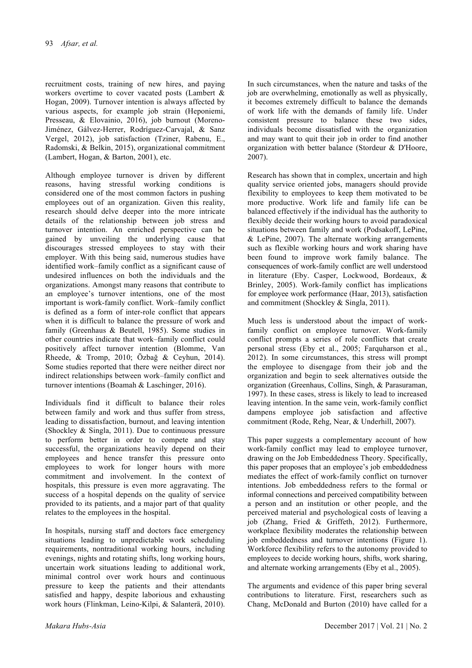recruitment costs, training of new hires, and paying workers overtime to cover vacated posts (Lambert & Hogan, 2009). Turnover intention is always affected by various aspects, for example job strain (Heponiemi, Presseau, & Elovainio, 2016), job burnout (Moreno-Jiménez, Gálvez-Herrer, Rodríguez-Carvajal, & Sanz Vergel, 2012), job satisfaction (Tziner, Rabenu, E., Radomski, & Belkin, 2015), organizational commitment (Lambert, Hogan, & Barton, 2001), etc.

Although employee turnover is driven by different reasons, having stressful working conditions is considered one of the most common factors in pushing employees out of an organization. Given this reality, research should delve deeper into the more intricate details of the relationship between job stress and turnover intention. An enriched perspective can be gained by unveiling the underlying cause that discourages stressed employees to stay with their employer. With this being said, numerous studies have identified work–family conflict as a significant cause of undesired influences on both the individuals and the organizations. Amongst many reasons that contribute to an employee's turnover intentions, one of the most important is work-family conflict. Work–family conflict is defined as a form of inter-role conflict that appears when it is difficult to balance the pressure of work and family (Greenhaus & Beutell, 1985). Some studies in other countries indicate that work–family conflict could positively affect turnover intention (Blomme, Van Rheede, & Tromp, 2010; Özbağ & Ceyhun, 2014). Some studies reported that there were neither direct nor indirect relationships between work–family conflict and turnover intentions (Boamah & Laschinger, 2016).

Individuals find it difficult to balance their roles between family and work and thus suffer from stress, leading to dissatisfaction, burnout, and leaving intention (Shockley & Singla, 2011). Due to continuous pressure to perform better in order to compete and stay successful, the organizations heavily depend on their employees and hence transfer this pressure onto employees to work for longer hours with more commitment and involvement. In the context of hospitals, this pressure is even more aggravating. The success of a hospital depends on the quality of service provided to its patients, and a major part of that quality relates to the employees in the hospital.

In hospitals, nursing staff and doctors face emergency situations leading to unpredictable work scheduling requirements, nontraditional working hours, including evenings, nights and rotating shifts, long working hours, uncertain work situations leading to additional work, minimal control over work hours and continuous pressure to keep the patients and their attendants satisfied and happy, despite laborious and exhausting work hours (Flinkman, Leino-Kilpi, & Salanterä, 2010). In such circumstances, when the nature and tasks of the job are overwhelming, emotionally as well as physically, it becomes extremely difficult to balance the demands of work life with the demands of family life. Under consistent pressure to balance these two sides, individuals become dissatisfied with the organization and may want to quit their job in order to find another organization with better balance (Stordeur & D'Hoore, 2007).

Research has shown that in complex, uncertain and high quality service oriented jobs, managers should provide flexibility to employees to keep them motivated to be more productive. Work life and family life can be balanced effectively if the individual has the authority to flexibly decide their working hours to avoid paradoxical situations between family and work (Podsakoff, LePine,  $&$  LePine, 2007). The alternate working arrangements such as flexible working hours and work sharing have been found to improve work family balance. The consequences of work-family conflict are well understood in literature (Eby. Casper, Lockwood, Bordeaux, & Brinley, 2005). Work-family conflict has implications for employee work performance (Haar, 2013), satisfaction and commitment (Shockley & Singla, 2011).

Much less is understood about the impact of workfamily conflict on employee turnover. Work-family conflict prompts a series of role conflicts that create personal stress (Eby et al., 2005; Farquharson et al., 2012). In some circumstances, this stress will prompt the employee to disengage from their job and the organization and begin to seek alternatives outside the organization (Greenhaus, Collins, Singh, & Parasuraman, 1997). In these cases, stress is likely to lead to increased leaving intention. In the same vein, work-family conflict dampens employee job satisfaction and affective commitment (Rode, Rehg, Near, & Underhill, 2007).

This paper suggests a complementary account of how work-family conflict may lead to employee turnover, drawing on the Job Embeddedness Theory. Specifically, this paper proposes that an employee's job embeddedness mediates the effect of work-family conflict on turnover intentions. Job embeddedness refers to the formal or informal connections and perceived compatibility between a person and an institution or other people, and the perceived material and psychological costs of leaving a job (Zhang, Fried & Griffeth, 2012). Furthermore, workplace flexibility moderates the relationship between job embeddedness and turnover intentions (Figure 1). Workforce flexibility refers to the autonomy provided to employees to decide working hours, shifts, work sharing, and alternate working arrangements (Eby et al., 2005).

The arguments and evidence of this paper bring several contributions to literature. First, researchers such as Chang, McDonald and Burton (2010) have called for a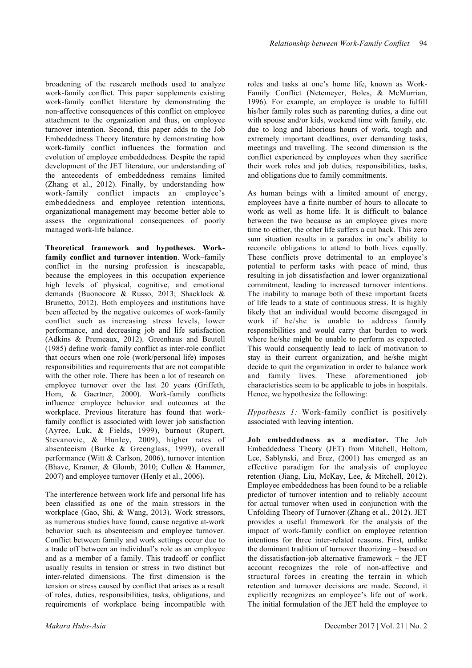broadening of the research methods used to analyze work-family conflict. This paper supplements existing work-family conflict literature by demonstrating the non-affective consequences of this conflict on employee attachment to the organization and thus, on employee turnover intention. Second, this paper adds to the Job Embeddedness Theory literature by demonstrating how work-family conflict influences the formation and evolution of employee embeddedness. Despite the rapid development of the JET literature, our understanding of the antecedents of embeddedness remains limited (Zhang et al., 2012). Finally, by understanding how work-family conflict impacts an employee's embeddedness and employee retention intentions, organizational management may become better able to assess the organizational consequences of poorly managed work-life balance.

**Theoretical framework and hypotheses. Workfamily conflict and turnover intention**. Work–family conflict in the nursing profession is inescapable, because the employees in this occupation experience high levels of physical, cognitive, and emotional demands (Buonocore & Russo, 2013; Shacklock & Brunetto, 2012). Both employees and institutions have been affected by the negative outcomes of work-family conflict such as increasing stress levels, lower performance, and decreasing job and life satisfaction (Adkins & Premeaux, 2012). Greenhaus and Beutell (1985) define work–family conflict as inter-role conflict that occurs when one role (work/personal life) imposes responsibilities and requirements that are not compatible with the other role. There has been a lot of research on employee turnover over the last 20 years (Griffeth, Hom, & Gaertner, 2000). Work-family conflicts influence employee behavior and outcomes at the workplace. Previous literature has found that workfamily conflict is associated with lower job satisfaction (Ayree, Luk, & Fields, 1999), burnout (Rupert, Stevanovic, & Hunley, 2009), higher rates of absenteeism (Burke & Greenglass, 1999), overall performance (Witt & Carlson, 2006), turnover intention (Bhave, Kramer, & Glomb, 2010; Cullen & Hammer, 2007) and employee turnover (Henly et al., 2006).

The interference between work life and personal life has been classified as one of the main stressors in the workplace (Gao, Shi, & Wang, 2013). Work stressors, as numerous studies have found, cause negative at-work behavior such as absenteeism and employee turnover. Conflict between family and work settings occur due to a trade off between an individual's role as an employee and as a member of a family. This tradeoff or conflict usually results in tension or stress in two distinct but inter-related dimensions. The first dimension is the tension or stress caused by conflict that arises as a result of roles, duties, responsibilities, tasks, obligations, and requirements of workplace being incompatible with roles and tasks at one's home life, known as Work-Family Conflict (Netemeyer, Boles, & McMurrian, 1996). For example, an employee is unable to fulfill his/her family roles such as parenting duties, a dine out with spouse and/or kids, weekend time with family, etc. due to long and laborious hours of work, tough and extremely important deadlines, over demanding tasks, meetings and travelling. The second dimension is the conflict experienced by employees when they sacrifice their work roles and job duties, responsibilities, tasks, and obligations due to family commitments.

As human beings with a limited amount of energy, employees have a finite number of hours to allocate to work as well as home life. It is difficult to balance between the two because as an employee gives more time to either, the other life suffers a cut back. This zero sum situation results in a paradox in one's ability to reconcile obligations to attend to both lives equally. These conflicts prove detrimental to an employee's potential to perform tasks with peace of mind, thus resulting in job dissatisfaction and lower organizational commitment, leading to increased turnover intentions. The inability to manage both of these important facets of life leads to a state of continuous stress. It is highly likely that an individual would become disengaged in work if he/she is unable to address family responsibilities and would carry that burden to work where he/she might be unable to perform as expected. This would consequently lead to lack of motivation to stay in their current organization, and he/she might decide to quit the organization in order to balance work and family lives. These aforementioned job characteristics seem to be applicable to jobs in hospitals. Hence, we hypothesize the following:

*Hypothesis 1:* Work-family conflict is positively associated with leaving intention.

**Job embeddedness as a mediator.** The Job Embeddedness Theory (JET) from Mitchell, Holtom, Lee, Sablynski, and Erez, (2001) has emerged as an effective paradigm for the analysis of employee retention (Jiang, Liu, McKay, Lee, & Mitchell, 2012). Employee embeddedness has been found to be a reliable predictor of turnover intention and to reliably account for actual turnover when used in conjunction with the Unfolding Theory of Turnover (Zhang et al., 2012). JET provides a useful framework for the analysis of the impact of work-family conflict on employee retention intentions for three inter-related reasons. First, unlike the dominant tradition of turnover theorizing – based on the dissatisfaction-job alternative framework – the JET account recognizes the role of non-affective and structural forces in creating the terrain in which retention and turnover decisions are made. Second, it explicitly recognizes an employee's life out of work. The initial formulation of the JET held the employee to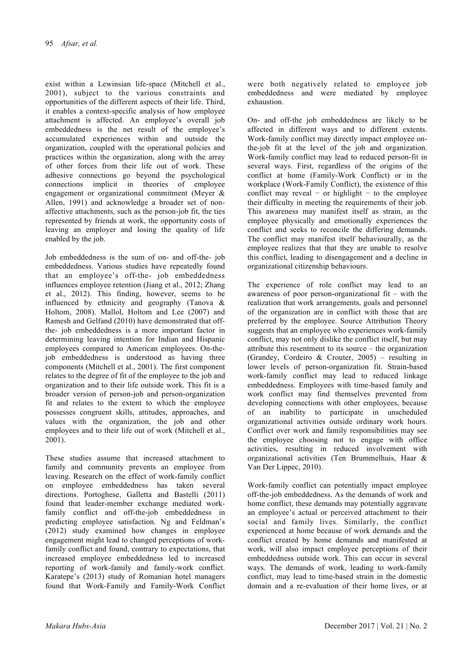exist within a Lewinsian life-space (Mitchell et al., 2001), subject to the various constraints and opportunities of the different aspects of their life. Third, it enables a context-specific analysis of how employee attachment is affected. An employee's overall job embeddedness is the net result of the employee's accumulated experiences within and outside the organization, coupled with the operational policies and practices within the organization, along with the array of other forces from their life out of work. These adhesive connections go beyond the psychological connections implicit in theories of employee engagement or organizational commitment (Meyer & Allen, 1991) and acknowledge a broader set of nonaffective attachments, such as the person-job fit, the ties represented by friends at work, the opportunity costs of leaving an employer and losing the quality of life enabled by the job.

Job embeddedness is the sum of on- and off-the- job embeddedness. Various studies have repeatedly found that an employee's off-the- job embeddedness influences employee retention (Jiang et al., 2012; Zhang et al., 2012). This finding, however, seems to be influenced by ethnicity and geography (Tanova & Holtom, 2008). Mallol, Holtom and Lee (2007) and Ramesh and Gelfand (2010) have demonstrated that offthe- job embeddedness is a more important factor in determining leaving intention for Indian and Hispanic employees compared to American employees. On-thejob embeddedness is understood as having three components (Mitchell et al., 2001). The first component relates to the degree of fit of the employee to the job and organization and to their life outside work. This fit is a broader version of person-job and person-organization fit and relates to the extent to which the employee possesses congruent skills, attitudes, approaches, and values with the organization, the job and other employees and to their life out of work (Mitchell et al.,  $2001$ )

These studies assume that increased attachment to family and community prevents an employee from leaving. Research on the effect of work-family conflict on employee embeddedness has taken several directions. Portoghese, Galletta and Bastelli (2011) found that leader-member exchange mediated workfamily conflict and off-the-job embeddedness in predicting employee satisfaction. Ng and Feldman's (2012) study examined how changes in employee engagement might lead to changed perceptions of workfamily conflict and found, contrary to expectations, that increased employee embeddedness led to increased reporting of work-family and family-work conflict. Karatepe's (2013) study of Romanian hotel managers found that Work-Family and Family-Work Conflict were both negatively related to employee job embeddedness and were mediated by employee exhaustion.

On- and off-the job embeddedness are likely to be affected in different ways and to different extents. Work-family conflict may directly impact employee onthe-job fit at the level of the job and organization. Work-family conflict may lead to reduced person-fit in several ways. First, regardless of the origins of the conflict at home (Family-Work Conflict) or in the workplace (Work-Family Conflict), the existence of this conflict may reveal  $-$  or highlight  $-$  to the employee their difficulty in meeting the requirements of their job. This awareness may manifest itself as strain, as the employee physically and emotionally experiences the conflict and seeks to reconcile the differing demands. The conflict may manifest itself behaviourally, as the employee realizes that that they are unable to resolve this conflict, leading to disengagement and a decline in organizational citizenship behaviours.

The experience of role conflict may lead to an awareness of poor person-organizational fit – with the realization that work arrangements, goals and personnel of the organization are in conflict with those that are preferred by the employee. Source Attribution Theory suggests that an employee who experiences work-family conflict, may not only dislike the conflict itself, but may attribute this resentment to its source – the organization (Grandey, Cordeiro & Crouter, 2005) – resulting in lower levels of person-organization fit. Strain-based work-family conflict may lead to reduced linkage embeddedness. Employees with time-based family and work conflict may find themselves prevented from developing connections with other employees, because of an inability to participate in unscheduled organizational activities outside ordinary work hours. Conflict over work and family responsibilities may see the employee choosing not to engage with office activities, resulting in reduced involvement with organizational activities (Ten Brummelhuis, Haar & Van Der Lippec, 2010).

Work-family conflict can potentially impact employee off-the-job embeddedness. As the demands of work and home conflict, these demands may potentially aggravate an employee's actual or perceived attachment to their social and family lives. Similarly, the conflict experienced at home because of work demands and the conflict created by home demands and manifested at work, will also impact employee perceptions of their embeddedness outside work. This can occur in several ways. The demands of work, leading to work-family conflict, may lead to time-based strain in the domestic domain and a re-evaluation of their home lives, or at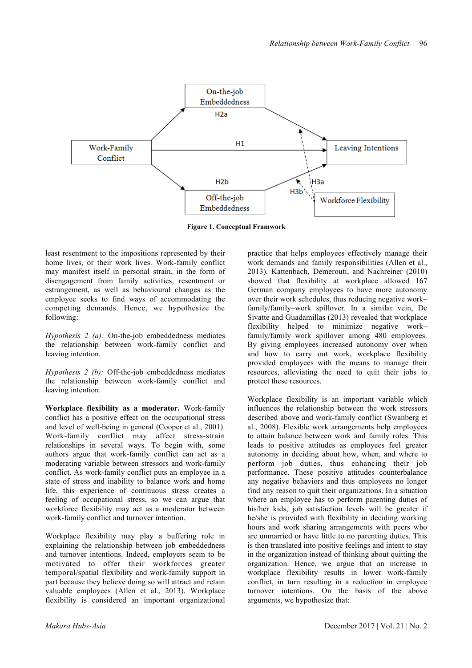

**Figure 1. Conceptual Framwork**

least resentment to the impositions represented by their home lives, or their work lives. Work-family conflict may manifest itself in personal strain, in the form of disengagement from family activities, resentment or estrangement, as well as behavioural changes as the employee seeks to find ways of accommodating the competing demands. Hence, we hypothesize the following:

*Hypothesis 2 (a):* On-the-job embeddedness mediates the relationship between work-family conflict and leaving intention.

*Hypothesis 2 (b):* Off-the-job embeddedness mediates the relationship between work-family conflict and leaving intention.

**Workplace flexibility as a moderator.** Work-family conflict has a positive effect on the occupational stress and level of well-being in general (Cooper et al., 2001). Work-family conflict may affect stress-strain relationships in several ways. To begin with, some authors argue that work-family conflict can act as a moderating variable between stressors and work-family conflict. As work-family conflict puts an employee in a state of stress and inability to balance work and home life, this experience of continuous stress creates a feeling of occupational stress, so we can argue that workforce flexibility may act as a moderator between work-family conflict and turnover intention.

Workplace flexibility may play a buffering role in explaining the relationship between job embeddedness and turnover intentions. Indeed, employers seem to be motivated to offer their workforces greater temporal/spatial flexibility and work-family support in part because they believe doing so will attract and retain valuable employees (Allen et al., 2013). Workplace flexibility is considered an important organizational practice that helps employees effectively manage their work demands and family responsibilities (Allen et al., 2013). Kattenbach, Demerouti, and Nachreiner (2010) showed that flexibility at workplace allowed 167 German company employees to have more autonomy over their work schedules, thus reducing negative work– family/family–work spillover. In a similar vein, De Sivatte and Guadamillas (2013) revealed that workplace flexibility helped to minimize negative work– family/family–work spillover among 480 employees. By giving employees increased autonomy over when and how to carry out work, workplace flexibility provided employees with the means to manage their resources, alleviating the need to quit their jobs to protect these resources.

Workplace flexibility is an important variable which influences the relationship between the work stressors described above and work-family conflict (Swanberg et al., 2008). Flexible work arrangements help employees to attain balance between work and family roles. This leads to positive attitudes as employees feel greater autonomy in deciding about how, when, and where to perform job duties, thus enhancing their job performance. These positive attitudes counterbalance any negative behaviors and thus employees no longer find any reason to quit their organizations. In a situation where an employee has to perform parenting duties of his/her kids, job satisfaction levels will be greater if he/she is provided with flexibility in deciding working hours and work sharing arrangements with peers who are unmarried or have little to no parenting duties. This is then translated into positive feelings and intent to stay in the organization instead of thinking about quitting the organization. Hence, we argue that an increase in workplace flexibility results in lower work-family conflict, in turn resulting in a reduction in employee turnover intentions. On the basis of the above arguments, we hypothesize that: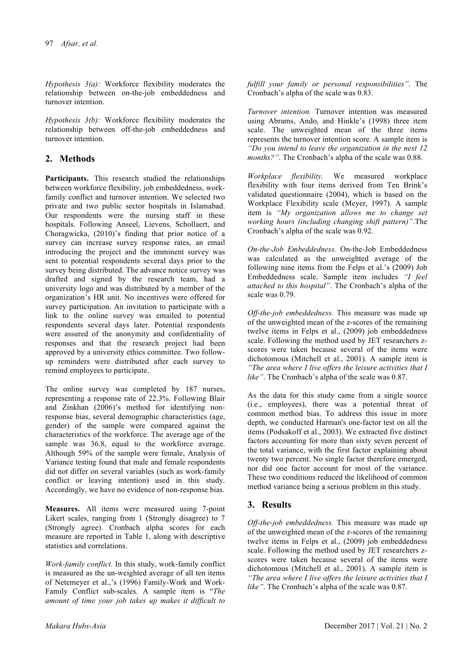*Hypothesis 3(a):* Workforce flexibility moderates the relationship between on-the-job embeddedness and turnover intention.

*Hypothesis 3(b):* Workforce flexibility moderates the relationship between off-the-job embeddedness and turnover intention.

### **2. Methods**

**Participants.** This research studied the relationships between workforce flexibility, job embeddedness, workfamily conflict and turnover intention. We selected two private and two public sector hospitals in Islamabad. Our respondents were the nursing staff in these hospitals. Following Anseel, Lievens, Schollaert, and Choragwicka, (2010)'s finding that prior notice of a survey can increase survey response rates, an email introducing the project and the imminent survey was sent to potential respondents several days prior to the survey being distributed. The advance notice survey was drafted and signed by the research team, had a university logo and was distributed by a member of the organization's HR unit. No incentives were offered for survey participation. An invitation to participate with a link to the online survey was emailed to potential respondents several days later. Potential respondents were assured of the anonymity and confidentiality of responses and that the research project had been approved by a university ethics committee. Two followup reminders were distributed after each survey to remind employees to participate.

The online survey was completed by 187 nurses, representing a response rate of 22.3%. Following Blair and Zinkhan (2006)'s method for identifying nonresponse bias, several demographic characteristics (age, gender) of the sample were compared against the characteristics of the workforce. The average age of the sample was 36.8, equal to the workforce average. Although 59% of the sample were female, Analysis of Variance testing found that male and female respondents did not differ on several variables (such as work-family conflict or leaving intention) used in this study. Accordingly, we have no evidence of non-response bias.

**Measures.** All items were measured using 7-point Likert scales, ranging from 1 (Strongly disagree) to 7 (Strongly agree). Cronbach alpha scores for each measure are reported in Table 1, along with descriptive statistics and correlations.

*Work-family conflict.* In this study, work-family conflict is measured as the un-weighted average of all ten items of Netemeyer et al.,'s (1996) Family-Work and Work-Family Conflict sub-scales. A sample item is "*The amount of time your job takes up makes it difficult to*  *fulfill your family or personal responsibilities"*. The Cronbach's alpha of the scale was 0.83.

*Turnover intention.* Turnover intention was measured using Abrams, Ando, and Hinkle's (1998) three item scale. The unweighted mean of the three items represents the turnover intention score. A sample item is *"Do you intend to leave the organization in the next 12 months?"*. The Cronbach's alpha of the scale was 0.88.

*Workplace flexibility.* We measured workplace flexibility with four items derived from Ten Brink's validated questionnaire (2004), which is based on the Workplace Flexibility scale (Meyer, 1997). A sample item is *"My organization allows me to change set working hours (including changing shift pattern)"*.The Cronbach's alpha of the scale was 0.92.

*On-the-Job Embeddedness.* On-the-Job Embeddedness was calculated as the unweighted average of the following nine items from the Felps et al.'s (2009) Job Embeddedness scale. Sample item includes *"I feel attached to this hospital"*. The Cronbach's alpha of the scale was 0.79.

*Off-the-job embeddedness.* This measure was made up of the unweighted mean of the z-scores of the remaining twelve items in Felps et al., (2009) job embeddedness scale. Following the method used by JET researchers zscores were taken because several of the items were dichotomous (Mitchell et al., 2001). A sample item is *"The area where I live offers the leisure activities that I like"*. The Cronbach's alpha of the scale was 0.87.

As the data for this study came from a single source (i.e., employees), there was a potential threat of common method bias. To address this issue in more depth, we conducted Harman's one-factor test on all the items (Podsakoff et al., 2003). We extracted five distinct factors accounting for more than sixty seven percent of the total variance, with the first factor explaining about twenty two percent. No single factor therefore emerged, nor did one factor account for most of the variance. These two conditions reduced the likelihood of common method variance being a serious problem in this study.

### **3. Results**

*Off-the-job embeddedness.* This measure was made up of the unweighted mean of the z-scores of the remaining twelve items in Felps et al., (2009) job embeddedness scale. Following the method used by JET researchers zscores were taken because several of the items were dichotomous (Mitchell et al., 2001). A sample item is *"The area where I live offers the leisure activities that I like"*. The Cronbach's alpha of the scale was 0.87.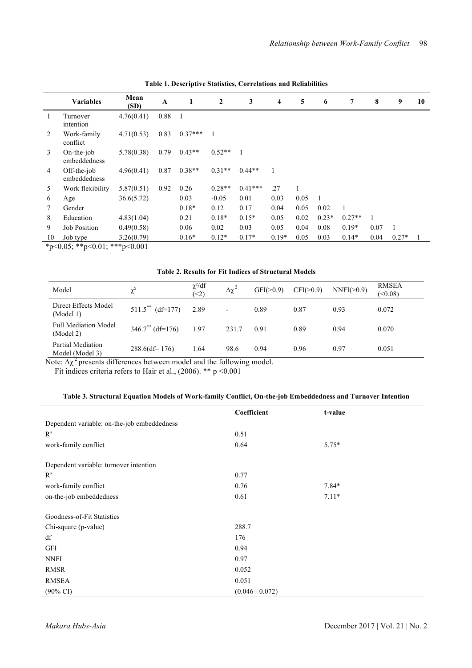|                | <b>Variables</b>              | Mean<br>(SD) | A    | 1         | 2        | 3         | 4            | 5    | 6       | 7        | 8            | 9              | 10 |
|----------------|-------------------------------|--------------|------|-----------|----------|-----------|--------------|------|---------|----------|--------------|----------------|----|
|                | Turnover<br>intention         | 4.76(0.41)   | 0.88 | - 1       |          |           |              |      |         |          |              |                |    |
| 2              | Work-family<br>conflict       | 4.71(0.53)   | 0.83 | $0.37***$ |          |           |              |      |         |          |              |                |    |
| 3              | $On$ -the-job<br>embeddedness | 5.78(0.38)   | 0.79 | $0.43**$  | $0.52**$ |           |              |      |         |          |              |                |    |
| $\overline{4}$ | Off-the-job<br>embeddedness   | 4.96(0.41)   | 0.87 | $0.38**$  | $0.31**$ | $0.44**$  | $\mathbf{1}$ |      |         |          |              |                |    |
| 5.             | Work flexibility              | 5.87(0.51)   | 0.92 | 0.26      | $0.28**$ | $0.41***$ | .27          |      |         |          |              |                |    |
| 6              | Age                           | 36.6(5.72)   |      | 0.03      | $-0.05$  | 0.01      | 0.03         | 0.05 | 1       |          |              |                |    |
| 7              | Gender                        |              |      | $0.18*$   | 0.12     | 0.17      | 0.04         | 0.05 | 0.02    |          |              |                |    |
| 8              | Education                     | 4.83(1.04)   |      | 0.21      | $0.18*$  | $0.15*$   | 0.05         | 0.02 | $0.23*$ | $0.27**$ | $\mathbf{1}$ |                |    |
| 9              | <b>Job Position</b>           | 0.49(0.58)   |      | 0.06      | 0.02     | 0.03      | 0.05         | 0.04 | 0.08    | $0.19*$  | 0.07         | $\overline{1}$ |    |
| 10             | Job type                      | 3.26(0.79)   |      | $0.16*$   | $0.12*$  | $0.17*$   | $0.19*$      | 0.05 | 0.03    | $0.14*$  | 0.04         | $0.27*$        |    |

**Table 1. Descriptive Statistics, Correlations and Reliabilities**

\*p<0.05; \*\*p<0.01; \*\*\*p<0.001

#### **Table 2. Results for Fit Indices of Structural Models**

| Model                                    | $\chi^2$                       | $\chi^2/df$<br>$\leq$ 2) | $\Delta \chi^2$ | GFI(>0.9) | CFI(>0.9) | NNFI(>0.9) | <b>RMSEA</b><br>(<0.08) |
|------------------------------------------|--------------------------------|--------------------------|-----------------|-----------|-----------|------------|-------------------------|
| Direct Effects Model<br>(Model 1)        | $511.5$ <sup>**</sup> (df=177) | 2.89                     |                 | 0.89      | 0.87      | 0.93       | 0.072                   |
| <b>Full Mediation Model</b><br>(Model 2) | $346.7$ ** (df=176)            | 1.97                     | 231.7           | 0.91      | 0.89      | 0.94       | 0.070                   |
| Partial Mediation<br>Model (Model 3)     | $288.6$ (df = 176)             | 1.64                     | 98.6            | 0.94      | 0.96      | 0.97       | 0.051                   |

Note:  $\Delta \chi^2$  presents differences between model and the following model.

Fit indices criteria refers to Hair et al.,  $(2006)$ . \*\* p <0.001

|                                             | Coefficient       | t-value |  |
|---------------------------------------------|-------------------|---------|--|
| Dependent variable: on-the-job embeddedness |                   |         |  |
| $R^2$                                       | 0.51              |         |  |
| work-family conflict                        | 0.64              | $5.75*$ |  |
| Dependent variable: turnover intention      |                   |         |  |
| $R^2$                                       | 0.77              |         |  |
| work-family conflict                        | 0.76              | $7.84*$ |  |
| on-the-job embeddedness                     | 0.61              | $7.11*$ |  |
| Goodness-of-Fit Statistics                  |                   |         |  |
| Chi-square (p-value)                        | 288.7             |         |  |
| df                                          | 176               |         |  |
| <b>GFI</b>                                  | 0.94              |         |  |
| NNFI                                        | 0.97              |         |  |
| <b>RMSR</b>                                 | 0.052             |         |  |
| RMSEA                                       | 0.051             |         |  |
| $(90\% \text{ CI})$                         | $(0.046 - 0.072)$ |         |  |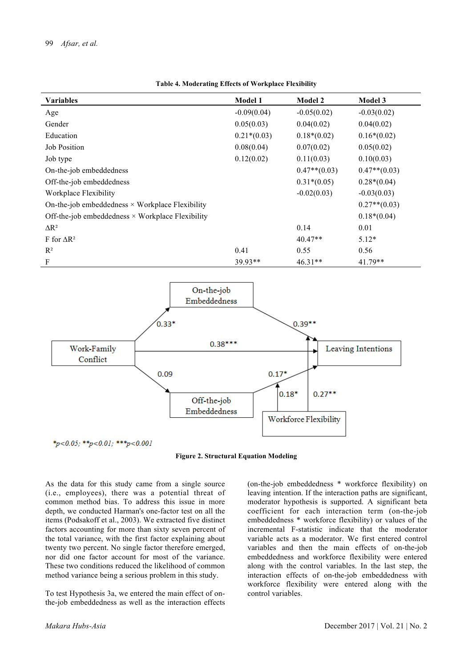| <b>Variables</b>                                        | Model 1       | <b>Model 2</b>  | Model 3         |
|---------------------------------------------------------|---------------|-----------------|-----------------|
| Age                                                     | $-0.09(0.04)$ | $-0.05(0.02)$   | $-0.03(0.02)$   |
| Gender                                                  | 0.05(0.03)    | 0.04(0.02)      | 0.04(0.02)      |
| Education                                               | $0.21*(0.03)$ | $0.18*(0.02)$   | $0.16*(0.02)$   |
| <b>Job Position</b>                                     | 0.08(0.04)    | 0.07(0.02)      | 0.05(0.02)      |
| Job type                                                | 0.12(0.02)    | 0.11(0.03)      | 0.10(0.03)      |
| On-the-job embeddedness                                 |               | $0.47**$ (0.03) | $0.47**$ (0.03) |
| Off-the-job embeddedness                                |               | $0.31*(0.05)$   | $0.28*(0.04)$   |
| Workplace Flexibility                                   |               | $-0.02(0.03)$   | $-0.03(0.03)$   |
| On-the-job embeddedness $\times$ Workplace Flexibility  |               |                 | $0.27**$ (0.03) |
| Off-the-job embeddedness $\times$ Workplace Flexibility |               |                 | $0.18*(0.04)$   |
| $\Delta$ R <sup>2</sup>                                 |               | 0.14            | 0.01            |
| F for $\Delta R^2$                                      |               | $40.47**$       | $5.12*$         |
| $R^2$                                                   | 0.41          | 0.55            | 0.56            |
| F                                                       | 39.93**       | $46.31**$       | $41.79**$       |

**Table 4. Moderating Effects of Workplace Flexibility**



**Figure 2. Structural Equation Modeling**

As the data for this study came from a single source (i.e., employees), there was a potential threat of common method bias. To address this issue in more depth, we conducted Harman's one-factor test on all the items (Podsakoff et al., 2003). We extracted five distinct factors accounting for more than sixty seven percent of the total variance, with the first factor explaining about twenty two percent. No single factor therefore emerged, nor did one factor account for most of the variance. These two conditions reduced the likelihood of common method variance being a serious problem in this study.

To test Hypothesis 3a, we entered the main effect of onthe-job embeddedness as well as the interaction effects (on-the-job embeddedness \* workforce flexibility) on leaving intention. If the interaction paths are significant, moderator hypothesis is supported. A significant beta coefficient for each interaction term (on-the-job embeddedness \* workforce flexibility) or values of the incremental F-statistic indicate that the moderator variable acts as a moderator. We first entered control variables and then the main effects of on-the-job embeddedness and workforce flexibility were entered along with the control variables. In the last step, the interaction effects of on-the-job embeddedness with workforce flexibility were entered along with the control variables.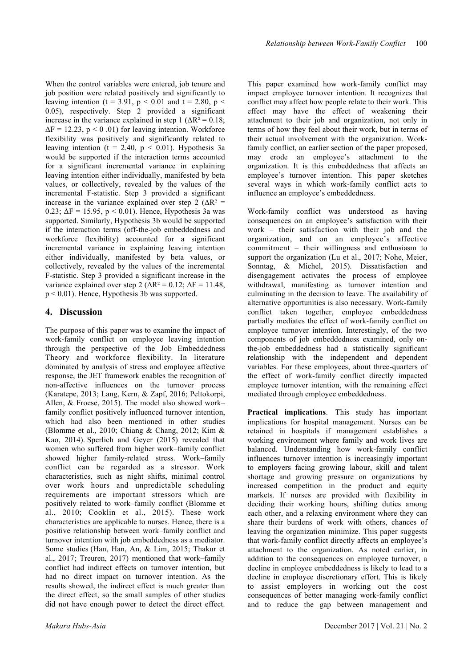When the control variables were entered, job tenure and job position were related positively and significantly to leaving intention (t = 3.91,  $p < 0.01$  and t = 2.80,  $p <$ 0.05), respectively. Step 2 provided a significant increase in the variance explained in step 1 ( $\Delta R^2 = 0.18$ ;  $\Delta F = 12.23$ ,  $p \le 0.01$ ) for leaving intention. Workforce flexibility was positively and significantly related to leaving intention (t = 2.40,  $p < 0.01$ ). Hypothesis 3a would be supported if the interaction terms accounted for a significant incremental variance in explaining leaving intention either individually, manifested by beta values, or collectively, revealed by the values of the incremental F-statistic. Step 3 provided a significant increase in the variance explained over step 2 ( $\Delta R^2$  = 0.23;  $\Delta F = 15.95$ , p < 0.01). Hence, Hypothesis 3a was supported. Similarly, Hypothesis 3b would be supported if the interaction terms (off-the-job embeddedness and workforce flexibility) accounted for a significant incremental variance in explaining leaving intention either individually, manifested by beta values, or collectively, revealed by the values of the incremental F-statistic. Step 3 provided a significant increase in the variance explained over step 2 ( $\Delta R^2 = 0.12$ ;  $\Delta F = 11.48$ , p < 0.01). Hence, Hypothesis 3b was supported.

### **4. Discussion**

The purpose of this paper was to examine the impact of work-family conflict on employee leaving intention through the perspective of the Job Embeddedness Theory and workforce flexibility. In literature dominated by analysis of stress and employee affective response, the JET framework enables the recognition of non-affective influences on the turnover process (Karatepe, 2013; Lang, Kern, & Zapf, 2016; Peltokorpi, Allen, & Froese, 2015). The model also showed work– family conflict positively influenced turnover intention, which had also been mentioned in other studies (Blomme et al., 2010; Chiang & Chang, 2012; Kim & Kao, 2014). Sperlich and Geyer (2015) revealed that women who suffered from higher work–family conflict showed higher family-related stress. Work–family conflict can be regarded as a stressor. Work characteristics, such as night shifts, minimal control over work hours and unpredictable scheduling requirements are important stressors which are positively related to work–family conflict (Blomme et al., 2010; Cooklin et al., 2015). These work characteristics are applicable to nurses. Hence, there is a positive relationship between work–family conflict and turnover intention with job embeddedness as a mediator. Some studies (Han, Han, An, & Lim, 2015; Thakur et al., 2017; Treuren, 2017) mentioned that work–family conflict had indirect effects on turnover intention, but had no direct impact on turnover intention. As the results showed, the indirect effect is much greater than the direct effect, so the small samples of other studies did not have enough power to detect the direct effect.

This paper examined how work-family conflict may impact employee turnover intention. It recognizes that conflict may affect how people relate to their work. This effect may have the effect of weakening their attachment to their job and organization, not only in terms of how they feel about their work, but in terms of their actual involvement with the organization. Workfamily conflict, an earlier section of the paper proposed, may erode an employee's attachment to the organization. It is this embeddedness that affects an employee's turnover intention. This paper sketches several ways in which work-family conflict acts to influence an employee's embeddedness.

Work-family conflict was understood as having consequences on an employee's satisfaction with their work – their satisfaction with their job and the organization, and on an employee's affective commitment – their willingness and enthusiasm to support the organization (Lu et al., 2017; Nohe, Meier, Sonntag, & Michel, 2015). Dissatisfaction and disengagement activates the process of employee withdrawal, manifesting as turnover intention and culminating in the decision to leave. The availability of alternative opportunities is also necessary. Work-family conflict taken together, employee embeddedness partially mediates the effect of work-family conflict on employee turnover intention. Interestingly, of the two components of job embeddedness examined, only onthe-job embeddedness had a statistically significant relationship with the independent and dependent variables. For these employees, about three-quarters of the effect of work-family conflict directly impacted employee turnover intention, with the remaining effect mediated through employee embeddedness.

**Practical implications**. This study has important implications for hospital management. Nurses can be retained in hospitals if management establishes a working environment where family and work lives are balanced. Understanding how work-family conflict influences turnover intention is increasingly important to employers facing growing labour, skill and talent shortage and growing pressure on organizations by increased competition in the product and equity markets. If nurses are provided with flexibility in deciding their working hours, shifting duties among each other, and a relaxing environment where they can share their burdens of work with others, chances of leaving the organization minimize. This paper suggests that work-family conflict directly affects an employee's attachment to the organization. As noted earlier, in addition to the consequences on employee turnover, a decline in employee embeddedness is likely to lead to a decline in employee discretionary effort. This is likely to assist employers in working out the cost consequences of better managing work-family conflict and to reduce the gap between management and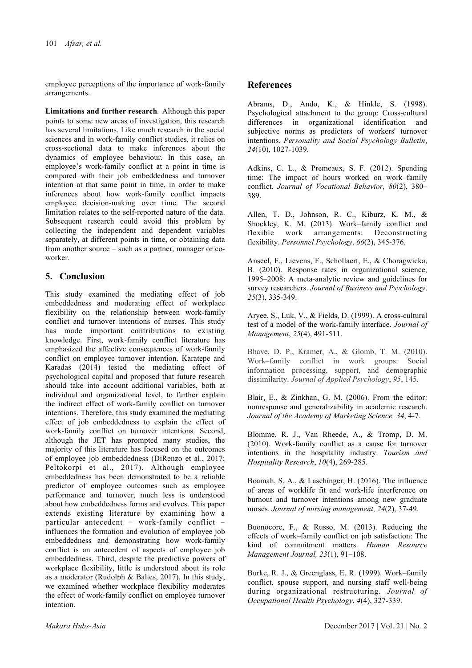employee perceptions of the importance of work-family arrangements.

**Limitations and further research***.* Although this paper points to some new areas of investigation, this research has several limitations. Like much research in the social sciences and in work-family conflict studies, it relies on cross-sectional data to make inferences about the dynamics of employee behaviour. In this case, an employee's work-family conflict at a point in time is compared with their job embeddedness and turnover intention at that same point in time, in order to make inferences about how work-family conflict impacts employee decision-making over time. The second limitation relates to the self-reported nature of the data. Subsequent research could avoid this problem by collecting the independent and dependent variables separately, at different points in time, or obtaining data from another source – such as a partner, manager or coworker.

# **5. Conclusion**

This study examined the mediating effect of job embeddedness and moderating effect of workplace flexibility on the relationship between work-family conflict and turnover intentions of nurses. This study has made important contributions to existing knowledge. First, work-family conflict literature has emphasized the affective consequences of work-family conflict on employee turnover intention. Karatepe and Karadas (2014) tested the mediating effect of psychological capital and proposed that future research should take into account additional variables, both at individual and organizational level, to further explain the indirect effect of work-family conflict on turnover intentions. Therefore, this study examined the mediating effect of job embeddedness to explain the effect of work-family conflict on turnover intentions. Second, although the JET has prompted many studies, the majority of this literature has focused on the outcomes of employee job embeddedness (DiRenzo et al., 2017; Peltokorpi et al., 2017). Although employee embeddedness has been demonstrated to be a reliable predictor of employee outcomes such as employee performance and turnover, much less is understood about how embeddedness forms and evolves. This paper extends existing literature by examining how a particular antecedent − work-family conflict – influences the formation and evolution of employee job embeddedness and demonstrating how work-family conflict is an antecedent of aspects of employee job embeddedness. Third, despite the predictive powers of workplace flexibility, little is understood about its role as a moderator (Rudolph & Baltes, 2017). In this study, we examined whether workplace flexibility moderates the effect of work-family conflict on employee turnover intention.

### **References**

Abrams, D., Ando, K., & Hinkle, S. (1998). Psychological attachment to the group: Cross-cultural differences in organizational identification and subjective norms as predictors of workers' turnover intentions. *Personality and Social Psychology Bulletin*, *24*(10), 1027-1039.

Adkins, C. L., & Premeaux, S. F. (2012). Spending time: The impact of hours worked on work–family conflict. *Journal of Vocational Behavior, 80*(2), 380– 389.

Allen, T. D., Johnson, R. C., Kiburz, K. M., & Shockley, K. M. (2013). Work–family conflict and flexible work arrangements: Deconstructing flexibility. *Personnel Psychology*, *66*(2), 345-376.

Anseel, F., Lievens, F., Schollaert, E., & Choragwicka, B. (2010). Response rates in organizational science, 1995–2008: A meta-analytic review and guidelines for survey researchers. *Journal of Business and Psychology*, *25*(3), 335-349.

Aryee, S., Luk, V., & Fields, D. (1999). A cross-cultural test of a model of the work-family interface. *Journal of Management*, *25*(4), 491-511.

Bhave, D. P., Kramer, A., & Glomb, T. M. (2010). Work–family conflict in work groups: Social information processing, support, and demographic dissimilarity. *Journal of Applied Psychology*, *95*, 145.

Blair, E., & Zinkhan, G. M. (2006). From the editor: nonresponse and generalizability in academic research. *Journal of the Academy of Marketing Science, 34*, 4-7.

Blomme, R. J., Van Rheede, A., & Tromp, D. M. (2010). Work-family conflict as a cause for turnover intentions in the hospitality industry. *Tourism and Hospitality Research*, *10*(4), 269-285.

Boamah, S. A., & Laschinger, H. (2016). The influence of areas of worklife fit and work-life interference on burnout and turnover intentions among new graduate nurses. *Journal of nursing management*, *24*(2), 37-49.

Buonocore, F., & Russo, M. (2013). Reducing the effects of work–family conflict on job satisfaction: The kind of commitment matters. *Human Resource Management Journal, 23*(1), 91–108.

Burke, R. J., & Greenglass, E. R. (1999). Work–family conflict, spouse support, and nursing staff well-being during organizational restructuring. *Journal of Occupational Health Psychology*, *4*(4), 327-339.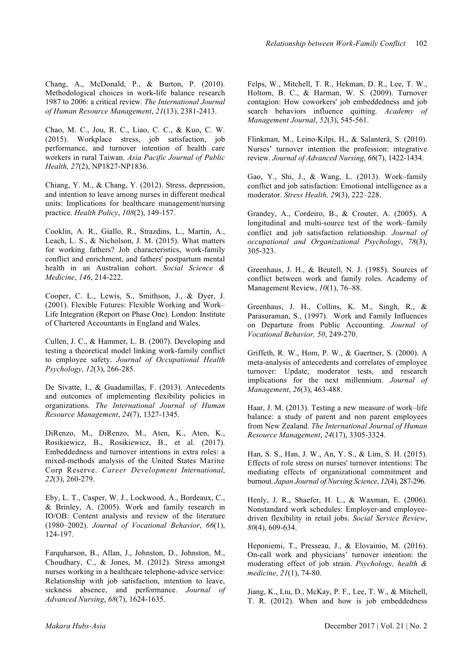Chang, A., McDonald, P., & Burton, P. (2010). Methodological choices in work-life balance research 1987 to 2006: a critical review. *The International Journal of Human Resource Management*, *21*(13), 2381-2413.

Chao, M. C., Jou, R. C., Liao, C. C., & Kuo, C. W. (2015). Workplace stress, job satisfaction, job performance, and turnover intention of health care workers in rural Taiwan. *Asia Pacific Journal of Public Health, 27*(2), NP1827-NP1836.

Chiang, Y. M., & Chang, Y. (2012). Stress, depression, and intention to leave among nurses in different medical units: Implications for healthcare management/nursing practice. *Health Policy*, *108*(2), 149-157.

Cooklin, A. R., Giallo, R., Strazdins, L., Martin, A., Leach, L. S., & Nicholson, J. M. (2015). What matters for working fathers? Job characteristics, work-family conflict and enrichment, and fathers' postpartum mental health in an Australian cohort. *Social Science & Medicine*, *146*, 214-222.

Cooper, C. L., Lewis, S., Smithson, J., & Dyer, J. (2001). Flexible Futures: Flexible Working and Work– Life Integration (Report on Phase One). London: Institute of Chartered Accountants in England and Wales.

Cullen, J. C., & Hammer, L. B. (2007). Developing and testing a theoretical model linking work-family conflict to employee safety. *Journal of Occupational Health Psychology*, *12*(3), 266-285.

De Sivatte, I., & Guadamillas, F. (2013). Antecedents and outcomes of implementing flexibility policies in organizations. *The International Journal of Human Resource Management*, *24*(7), 1327-1345.

DiRenzo, M., DiRenzo, M., Aten, K., Aten, K., Rosikiewicz, B., Rosikiewicz, B., et al. (2017). Embeddedness and turnover intentions in extra roles: a mixed-methods analysis of the United States Marine Corp Reserve. *Career Development International*, *22*(3), 260-279.

Eby, L. T., Casper, W. J., Lockwood, A., Bordeaux, C., & Brinley, A. (2005). Work and family research in IO/OB: Content analysis and review of the literature (1980–2002). *Journal of Vocational Behavior*, *66*(1), 124-197.

Farquharson, B., Allan, J., Johnston, D., Johnston, M., Choudhary, C., & Jones, M. (2012). Stress amongst nurses working in a healthcare telephone-advice service: Relationship with job satisfaction, intention to leave, sickness absence, and performance. *Journal of Advanced Nursing*, *68*(7), 1624-1635.

Felps, W., Mitchell, T. R., Hekman, D. R., Lee, T. W., Holtom, B. C., & Harman, W. S. (2009). Turnover contagion: How coworkers' job embeddedness and job search behaviors influence quitting. *Academy of Management Journal*, *52*(3), 545-561.

Flinkman, M., Leino-Kilpi, H., & Salanterä, S. (2010). Nurses' turnover intention the profession: integrative review. *Journal of Advanced Nursing*, *66*(7), 1422-1434.

Gao, Y., Shi, J., & Wang, L. (2013). Work–family conflict and job satisfaction: Emotional intelligence as a moderator. *Stress Health, 29*(3), 222–228.

Grandey, A., Cordeiro, B., & Crouter, A. (2005). A longitudinal and multi-source test of the work–family conflict and job satisfaction relationship. *Journal of occupational and Organizational Psychology*, *78*(3), 305-323.

Greenhaus, J. H., & Beutell, N. J. (1985). Sources of conflict between work and family roles. Academy of Management Review, *10*(1), 76–88.

Greenhaus, J. H., Collins, K. M., Singh, R., & Parasuraman, S., (1997). Work and Family Influences on Departure from Public Accounting. *Journal of Vocational Behavior, 50*, 249-270.

Griffeth, R. W., Hom, P. W., & Gaertner, S. (2000). A meta-analysis of antecedents and correlates of employee turnover: Update, moderator tests, and research implications for the next millennium. *Journal of Management*, *26*(3), 463-488.

Haar, J. M. (2013). Testing a new measure of work–life balance: a study of parent and non parent employees from New Zealand. *The International Journal of Human Resource Management*, *24*(17), 3305-3324.

Han, S. S., Han, J. W., An, Y. S., & Lim, S. H. (2015). Effects of role stress on nurses' turnover intentions: The mediating effects of organizational commitment and burnout. *Japan Journal of Nursing Science*, *12*(4), 287-296.

Henly, J. R., Shaefer, H. L., & Waxman, E. (2006). Nonstandard work schedules: Employer-and employeedriven flexibility in retail jobs. *Social Service Review*, *80*(4), 609-634.

Heponiemi, T., Presseau, J., & Elovainio, M. (2016). On-call work and physicians' turnover intention: the moderating effect of job strain. *Psychology, health & medicine*, *21*(1), 74-80.

Jiang, K., Liu, D., McKay, P. F., Lee, T. W., & Mitchell, T. R. (2012). When and how is job embeddedness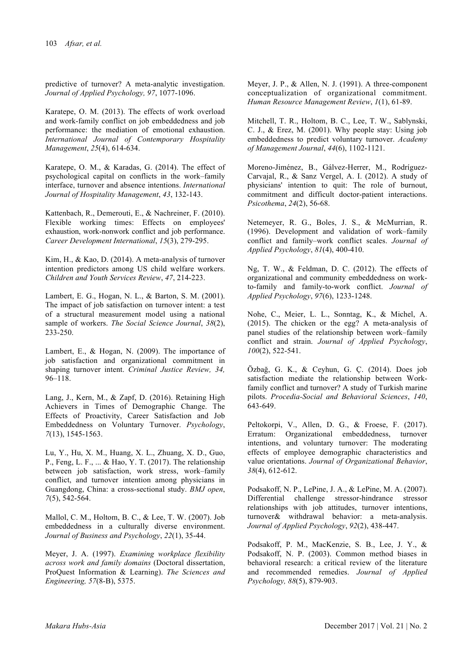predictive of turnover? A meta-analytic investigation. *Journal of Applied Psychology, 97*, 1077-1096.

Karatepe, O. M. (2013). The effects of work overload and work-family conflict on job embeddedness and job performance: the mediation of emotional exhaustion. *International Journal of Contemporary Hospitality Management*, *25*(4), 614-634.

Karatepe, O. M., & Karadas, G. (2014). The effect of psychological capital on conflicts in the work–family interface, turnover and absence intentions. *International Journal of Hospitality Management*, *43*, 132-143.

Kattenbach, R., Demerouti, E., & Nachreiner, F. (2010). Flexible working times: Effects on employees' exhaustion, work-nonwork conflict and job performance. *Career Development International*, *15*(3), 279-295.

Kim, H., & Kao, D. (2014). A meta-analysis of turnover intention predictors among US child welfare workers. *Children and Youth Services Review*, *47*, 214-223.

Lambert, E. G., Hogan, N. L., & Barton, S. M. (2001). The impact of job satisfaction on turnover intent: a test of a structural measurement model using a national sample of workers. *The Social Science Journal*, *38*(2), 233-250.

Lambert, E., & Hogan, N. (2009). The importance of job satisfaction and organizational commitment in shaping turnover intent. *Criminal Justice Review, 34,* 96–118.

Lang, J., Kern, M., & Zapf, D. (2016). Retaining High Achievers in Times of Demographic Change. The Effects of Proactivity, Career Satisfaction and Job Embeddedness on Voluntary Turnover. *Psychology*, *7*(13), 1545-1563.

Lu, Y., Hu, X. M., Huang, X. L., Zhuang, X. D., Guo, P., Feng, L. F., ... & Hao, Y. T. (2017). The relationship between job satisfaction, work stress, work–family conflict, and turnover intention among physicians in Guangdong, China: a cross-sectional study. *BMJ open*, *7*(5), 542-564.

Mallol, C. M., Holtom, B. C., & Lee, T. W. (2007). Job embeddedness in a culturally diverse environment. *Journal of Business and Psychology*, *22*(1), 35-44.

Meyer, J. A. (1997). *Examining workplace flexibility across work and family domains* (Doctoral dissertation, ProQuest Information & Learning). *The Sciences and Engineering, 57*(8-B), 5375.

Meyer, J. P., & Allen, N. J. (1991). A three-component conceptualization of organizational commitment. *Human Resource Management Review*, *1*(1), 61-89.

Mitchell, T. R., Holtom, B. C., Lee, T. W., Sablynski, C. J., & Erez, M. (2001). Why people stay: Using job embeddedness to predict voluntary turnover. *Academy of Management Journal*, *44*(6), 1102-1121.

Moreno-Jiménez, B., Gálvez-Herrer, M., Rodríguez-Carvajal, R., & Sanz Vergel, A. I. (2012). A study of physicians' intention to quit: The role of burnout, commitment and difficult doctor-patient interactions. *Psicothema*, *24*(2), 56-68.

Netemeyer, R. G., Boles, J. S., & McMurrian, R. (1996). Development and validation of work–family conflict and family–work conflict scales. *Journal of Applied Psychology*, *81*(4), 400-410.

Ng, T. W., & Feldman, D. C. (2012). The effects of organizational and community embeddedness on workto-family and family-to-work conflict. *Journal of Applied Psychology*, *97*(6), 1233-1248.

Nohe, C., Meier, L. L., Sonntag, K., & Michel, A. (2015). The chicken or the egg? A meta-analysis of panel studies of the relationship between work–family conflict and strain. *Journal of Applied Psychology*, *100*(2), 522-541.

Özbağ, G. K., & Ceyhun, G. Ç. (2014). Does job satisfaction mediate the relationship between Workfamily conflict and turnover? A study of Turkish marine pilots. *Procedia-Social and Behavioral Sciences*, *140*, 643-649.

Peltokorpi, V., Allen, D. G., & Froese, F. (2017). Erratum: Organizational embeddedness, turnover intentions, and voluntary turnover: The moderating effects of employee demographic characteristics and value orientations. *Journal of Organizational Behavior*, *38*(4), 612-612.

Podsakoff, N. P., LePine, J. A., & LePine, M. A. (2007). Differential challenge stressor-hindrance stressor relationships with job attitudes, turnover intentions, turnover& withdrawal behavior: a meta-analysis. *Journal of Applied Psychology*, *92*(2), 438-447.

Podsakoff, P. M., MacKenzie, S. B., Lee, J. Y., & Podsakoff, N. P. (2003). Common method biases in behavioral research: a critical review of the literature and recommended remedies. *Journal of Applied Psychology, 88*(5), 879-903.